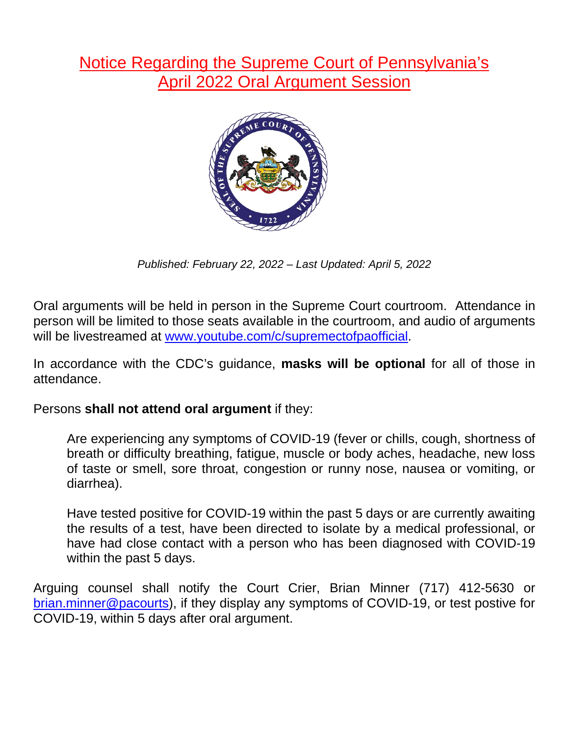## Notice Regarding the Supreme Court of Pennsylvania's April 2022 Oral Argument Session



*Published: February 22, 2022 – Last Updated: April 5, 2022*

Oral arguments will be held in person in the Supreme Court courtroom. Attendance in person will be limited to those seats available in the courtroom, and audio of arguments will be livestreamed at [www.youtube.com/c/supremectofpaofficial.](http://www.youtube.com/c/supremectofpaofficial)

In accordance with the CDC's guidance, **masks will be optional** for all of those in attendance.

Persons **shall not attend oral argument** if they:

Are experiencing any symptoms of COVID-19 (fever or chills, cough, shortness of breath or difficulty breathing, fatigue, muscle or body aches, headache, new loss of taste or smell, sore throat, congestion or runny nose, nausea or vomiting, or diarrhea).

Have tested positive for COVID-19 within the past 5 days or are currently awaiting the results of a test, have been directed to isolate by a medical professional, or have had close contact with a person who has been diagnosed with COVID-19 within the past 5 days.

Arguing counsel shall notify the Court Crier, Brian Minner (717) 412-5630 or [brian.minner@pacourts\)](mailto:brian.minner@pacourts), if they display any symptoms of COVID-19, or test postive for COVID-19, within 5 days after oral argument.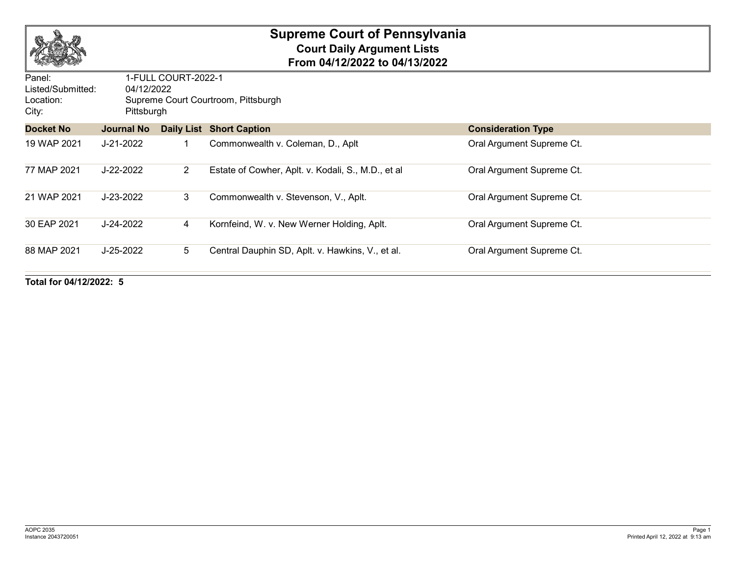

## **Supreme Court of Pennsylvania Court Daily Argument Lists From 04/12/2022 to 04/13/2022**

| Panel:<br>Listed/Submitted: | 1-FULL COURT-2022-1<br>04/12/2022<br>Supreme Court Courtroom, Pittsburgh<br>Pittsburgh |                 |                                                    |                           |  |  |
|-----------------------------|----------------------------------------------------------------------------------------|-----------------|----------------------------------------------------|---------------------------|--|--|
| Location:<br>City:          |                                                                                        |                 |                                                    |                           |  |  |
| <b>Docket No</b>            | <b>Journal No</b>                                                                      |                 | <b>Daily List Short Caption</b>                    | <b>Consideration Type</b> |  |  |
| 19 WAP 2021                 | J-21-2022                                                                              |                 | Commonwealth v. Coleman, D., Aplt                  | Oral Argument Supreme Ct. |  |  |
| 77 MAP 2021                 | J-22-2022                                                                              | $2^{\circ}$     | Estate of Cowher, Aplt. v. Kodali, S., M.D., et al | Oral Argument Supreme Ct. |  |  |
| 21 WAP 2021                 | J-23-2022                                                                              | 3               | Commonwealth v. Stevenson, V., Aplt.               | Oral Argument Supreme Ct. |  |  |
| 30 EAP 2021                 | $J - 24 - 2022$                                                                        | 4               | Kornfeind, W. v. New Werner Holding, Aplt.         | Oral Argument Supreme Ct. |  |  |
| 88 MAP 2021                 | $J-25-2022$                                                                            | $5\overline{)}$ | Central Dauphin SD, Aplt. v. Hawkins, V., et al.   | Oral Argument Supreme Ct. |  |  |

**Total for 04/12/2022: 5**